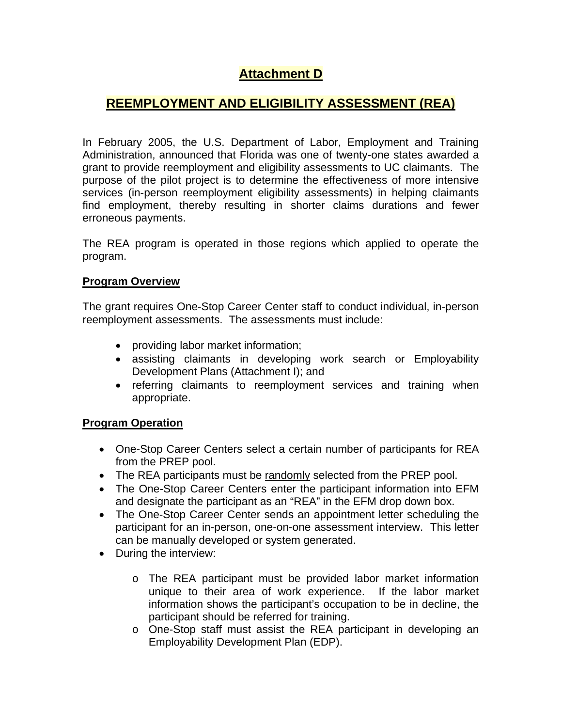## **Attachment D**

## **REEMPLOYMENT AND ELIGIBILITY ASSESSMENT (REA)**

In February 2005, the U.S. Department of Labor, Employment and Training Administration, announced that Florida was one of twenty-one states awarded a grant to provide reemployment and eligibility assessments to UC claimants. The purpose of the pilot project is to determine the effectiveness of more intensive services (in-person reemployment eligibility assessments) in helping claimants find employment, thereby resulting in shorter claims durations and fewer erroneous payments.

The REA program is operated in those regions which applied to operate the program.

## **Program Overview**

The grant requires One-Stop Career Center staff to conduct individual, in-person reemployment assessments. The assessments must include:

- providing labor market information;
- assisting claimants in developing work search or Employability Development Plans (Attachment I); and
- referring claimants to reemployment services and training when appropriate.

## **Program Operation**

- One-Stop Career Centers select a certain number of participants for REA from the PREP pool.
- The REA participants must be randomly selected from the PREP pool.
- The One-Stop Career Centers enter the participant information into EFM and designate the participant as an "REA" in the EFM drop down box.
- The One-Stop Career Center sends an appointment letter scheduling the participant for an in-person, one-on-one assessment interview. This letter can be manually developed or system generated.
- During the interview:
	- o The REA participant must be provided labor market information unique to their area of work experience. If the labor market information shows the participant's occupation to be in decline, the participant should be referred for training.
	- o One-Stop staff must assist the REA participant in developing an Employability Development Plan (EDP).